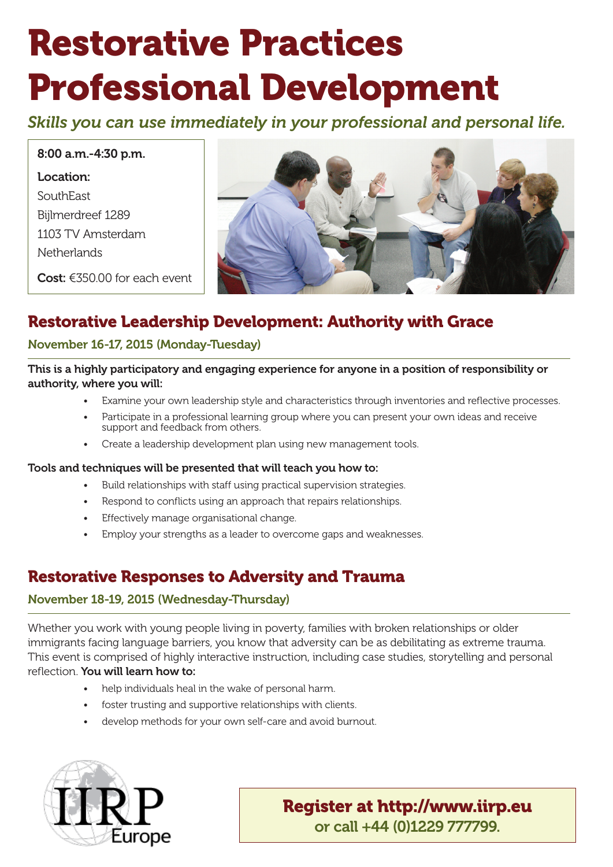# Restorative Practices Professional Development

*Skills you can use immediately in your professional and personal life.*

8:00 a.m.-4:30 p.m. Location: SouthEast Bijlmerdreef 1289 1103 TV Amsterdam **Netherlands** 

Cost: €350.00 for each event



# Restorative Leadership Development: Authority with Grace

#### November 16-17, 2015 (Monday-Tuesday)

This is a highly participatory and engaging experience for anyone in a position of responsibility or authority, where you will:

- Examine your own leadership style and characteristics through inventories and reflective processes.
- Participate in a professional learning group where you can present your own ideas and receive support and feedback from others.
- Create a leadership development plan using new management tools.

#### Tools and techniques will be presented that will teach you how to:

- Build relationships with staff using practical supervision strategies.
- Respond to conflicts using an approach that repairs relationships.
- Effectively manage organisational change.
- Employ your strengths as a leader to overcome gaps and weaknesses.

# Restorative Responses to Adversity and Trauma

#### November 18-19, 2015 (Wednesday-Thursday)

Whether you work with young people living in poverty, families with broken relationships or older immigrants facing language barriers, you know that adversity can be as debilitating as extreme trauma. This event is comprised of highly interactive instruction, including case studies, storytelling and personal reflection. You will learn how to:

- help individuals heal in the wake of personal harm.
- foster trusting and supportive relationships with clients.
- develop methods for your own self-care and avoid burnout.



# Register at http://www.iirp.eu or call +44 (0)1229 777799.